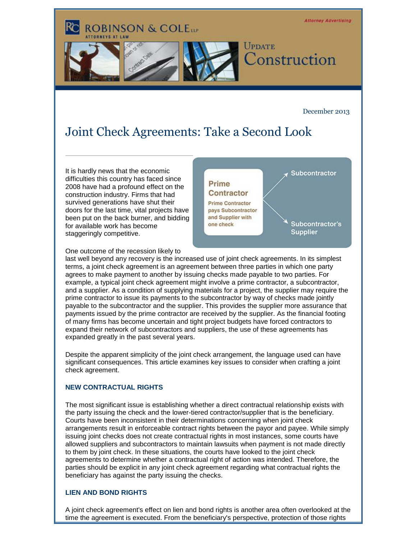

December 2013

# Joint Check Agreements: Take a Second Look

It is hardly news that the economic difficulties this country has faced since 2008 have had a profound effect on the construction industry. Firms that had survived generations have shut their doors for the last time, vital projects have been put on the back burner, and bidding for available work has become staggeringly competitive.

**Subcontractor** 

Contractor **Prime Contractor** pays Subcontractor and Supplier with one check

Prime

Subcontractor's **Supplier** 

One outcome of the recession likely to

last well beyond any recovery is the increased use of joint check agreements. In its simplest terms, a joint check agreement is an agreement between three parties in which one party agrees to make payment to another by issuing checks made payable to two parties. For example, a typical joint check agreement might involve a prime contractor, a subcontractor, and a supplier. As a condition of supplying materials for a project, the supplier may require the prime contractor to issue its payments to the subcontractor by way of checks made jointly payable to the subcontractor and the supplier. This provides the supplier more assurance that payments issued by the prime contractor are received by the supplier. As the financial footing of many firms has become uncertain and tight project budgets have forced contractors to expand their network of subcontractors and suppliers, the use of these agreements has expanded greatly in the past several years.

Despite the apparent simplicity of the joint check arrangement, the language used can have significant consequences. This article examines key issues to consider when crafting a joint check agreement.

## **NEW CONTRACTUAL RIGHTS**

The most significant issue is establishing whether a direct contractual relationship exists with the party issuing the check and the lower-tiered contractor/supplier that is the beneficiary. Courts have been inconsistent in their determinations concerning when joint check arrangements result in enforceable contract rights between the payor and payee. While simply issuing joint checks does not create contractual rights in most instances, some courts have allowed suppliers and subcontractors to maintain lawsuits when payment is not made directly to them by joint check. In these situations, the courts have looked to the joint check agreements to determine whether a contractual right of action was intended. Therefore, the parties should be explicit in any joint check agreement regarding what contractual rights the beneficiary has against the party issuing the checks.

## **LIEN AND BOND RIGHTS**

A joint check agreement's effect on lien and bond rights is another area often overlooked at the time the agreement is executed. From the beneficiary's perspective, protection of those rights